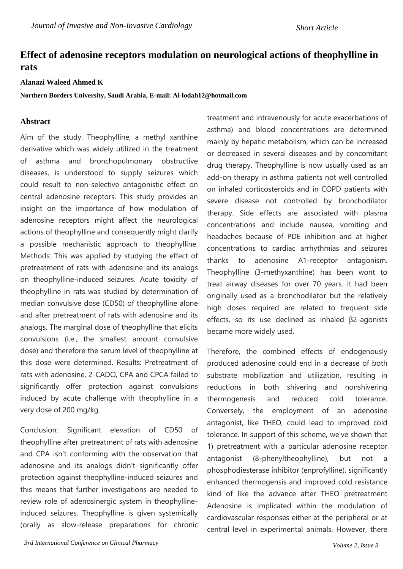*Short Article*

## **Effect of adenosine receptors modulation on neurological actions of theophylline in rats**

## **Alanazi Waleed Ahmed K**

**Northern Borders University, Saudi Arabia, E-mail: Al-lodah12@hotmail.com**

## **Abstract**

Aim of the study: Theophylline, a methyl xanthine derivative which was widely utilized in the treatment of asthma and bronchopulmonary obstructive diseases, is understood to supply seizures which could result to non-selective antagonistic effect on central adenosine receptors. This study provides an insight on the importance of how modulation of adenosine receptors might affect the neurological actions of theophylline and consequently might clarify a possible mechanistic approach to theophylline. Methods: This was applied by studying the effect of pretreatment of rats with adenosine and its analogs on theophylline-induced seizures. Acute toxicity of theophylline in rats was studied by determination of median convulsive dose (CD50) of theophylline alone and after pretreatment of rats with adenosine and its analogs. The marginal dose of theophylline that elicits convulsions (i.e., the smallest amount convulsive dose) and therefore the serum level of theophylline at this dose were determined. Results: Pretreatment of rats with adenosine, 2-CADO, CPA and CPCA failed to significantly offer protection against convulsions induced by acute challenge with theophylline in a very dose of 200 mg/kg.

Conclusion: Significant elevation of CD50 of theophylline after pretreatment of rats with adenosine and CPA isn't conforming with the observation that adenosine and its analogs didn't significantly offer protection against theophylline-induced seizures and this means that further investigations are needed to review role of adenosinergic system in theophyllineinduced seizures. Theophylline is given systemically (orally as slow-release preparations for chronic treatment and intravenously for acute exacerbations of asthma) and blood concentrations are determined mainly by hepatic metabolism, which can be increased or decreased in several diseases and by concomitant drug therapy. Theophylline is now usually used as an add-on therapy in asthma patients not well controlled on inhaled corticosteroids and in COPD patients with severe disease not controlled by bronchodilator therapy. Side effects are associated with plasma concentrations and include nausea, vomiting and headaches because of PDE inhibition and at higher concentrations to cardiac arrhythmias and seizures thanks to adenosine A1-receptor antagonism. Theophylline (3-methyxanthine) has been wont to treat airway diseases for over 70 years. it had been originally used as a bronchodilator but the relatively high doses required are related to frequent side effects, so its use declined as inhaled β2-agonists became more widely used.

Therefore, the combined effects of endogenously produced adenosine could end in a decrease of both substrate mobilization and utilization, resulting in reductions in both shivering and nonshivering thermogenesis and reduced cold tolerance. Conversely, the employment of an adenosine antagonist, like THEO, could lead to improved cold tolerance. In support of this scheme, we've shown that 1) pretreatment with a particular adenosine receptor antagonist (8-phenyltheophylline), but not a phosphodiesterase inhibitor (enprofylline), significantly enhanced thermogensis and improved cold resistance kind of like the advance after THEO pretreatment Adenosine is implicated within the modulation of cardiovascular responses either at the peripheral or at central level in experimental animals. However, there